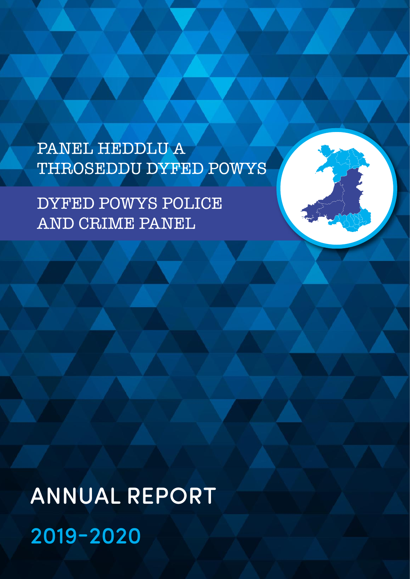PANEL HEDDLU A THROSEDDU DYFED POWYS

DYFED POWYS POLICE AND CRIME PANEL

ANNUAL REPORT 2019-2020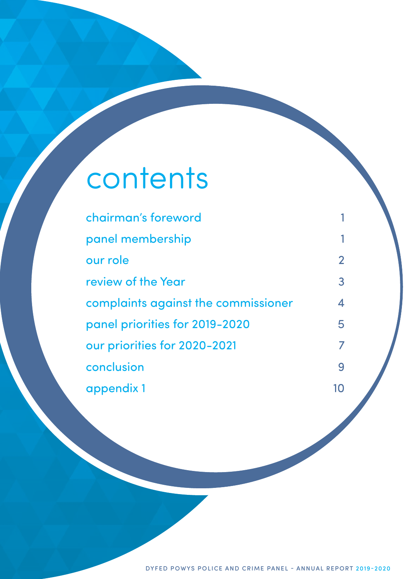# contents

| chairman's foreword                 |                |
|-------------------------------------|----------------|
| panel membership                    | 1              |
| our role                            | $\overline{2}$ |
| review of the Year                  | 3              |
| complaints against the commissioner | 4              |
| panel priorities for 2019-2020      | 5              |
| our priorities for 2020-2021        | $\overline{7}$ |
| conclusion                          | 9              |
| appendix 1                          | 10             |

DYFED POWYS POLICE AND CRIME PANEL - ANNUAL REPORT 2019-2020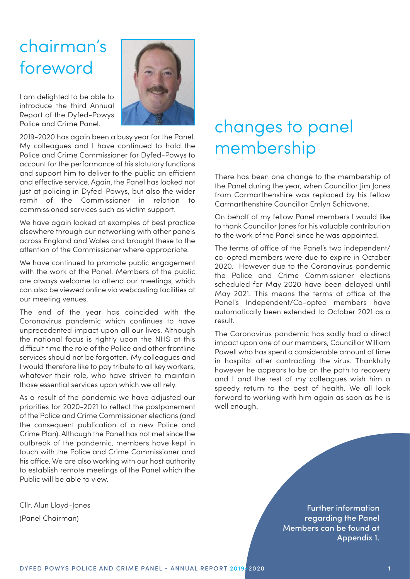### chairman's foreword

I am delighted to be able to introduce the third Annual Report of the Dyfed-Powys Police and Crime Panel.

2019-2020 has again been a busy year for the Panel. My colleagues and I have continued to hold the Police and Crime Commissioner for Dyfed-Powys to account for the performance of his statutory functions and support him to deliver to the public an efficient and effective service. Again, the Panel has looked not just at policing in Dyfed-Powys, but also the wider remit of the Commissioner in relation to commissioned services such as victim support.

We have again looked at examples of best practice elsewhere through our networking with other panels across England and Wales and brought these to the attention of the Commissioner where appropriate.

We have continued to promote public engagement with the work of the Panel. Members of the public are always welcome to attend our meetings, which can also be viewed online via webcasting facilities at our meeting venues.

The end of the year has coincided with the Coronavirus pandemic which continues to have unprecedented impact upon all our lives. Although the national focus is rightly upon the NHS at this difficult time the role of the Police and other frontline services should not be forgotten. My colleagues and I would therefore like to pay tribute to all key workers, whatever their role, who have striven to maintain those essential services upon which we all rely.

As a result of the pandemic we have adjusted our priorities for 2020-2021 to reflect the postponement of the Police and Crime Commissioner elections (and the consequent publication of a new Police and Crime Plan). Although the Panel has not met since the outbreak of the pandemic, members have kept in touch with the Police and Crime Commissioner and his office. We are also working with our host authority to establish remote meetings of the Panel which the Public will be able to view.

Cllr. Alun Lloyd-Jones (Panel Chairman)

### <span id="page-2-1"></span><span id="page-2-0"></span>changes to panel membership

There has been one change to the membership of the Panel during the year, when Councillor Jim Jones from Carmarthenshire was replaced by his fellow Carmarthenshire Councillor Emlyn Schiavone.

On behalf of my fellow Panel members I would like to thank Councillor Jones for his valuable contribution to the work of the Panel since he was appointed.

The terms of office of the Panel's two independent/ co-opted members were due to expire in October 2020. However due to the Coronavirus pandemic the Police and Crime Commissioner elections scheduled for May 2020 have been delayed until May 2021. This means the terms of office of the Panel's Independent/Co-opted members have automatically been extended to October 2021 as a result.

The Coronavirus pandemic has sadly had a direct impact upon one of our members, Councillor William Powell who has spent a considerable amount of time in hospital after contracting the virus. Thankfully however he appears to be on the path to recovery and I and the rest of my colleagues wish him a speedy return to the best of health. We all look forward to working with him again as soon as he is well enough.

> Further information regarding the Panel Members can be found at Appendix 1.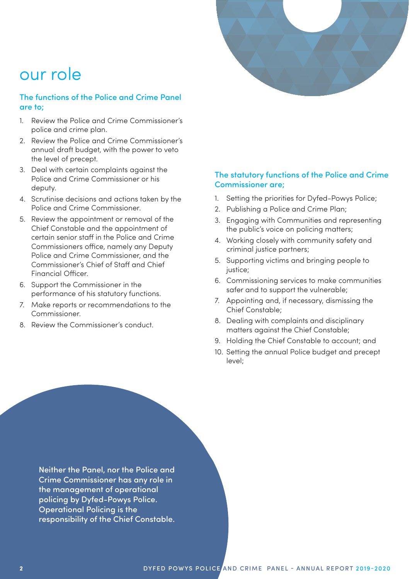<span id="page-3-0"></span>

### our role

#### The functions of the Police and Crime Panel are to;

- 1. Review the Police and Crime Commissioner's police and crime plan.
- 2. Review the Police and Crime Commissioner's annual draft budget, with the power to veto the level of precept.
- 3. Deal with certain complaints against the Police and Crime Commissioner or his deputy.
- 4. Scrutinise decisions and actions taken by the Police and Crime Commissioner.
- 5. Review the appointment or removal of the Chief Constable and the appointment of certain senior staff in the Police and Crime Commissioners office, namely any Deputy Police and Crime Commissioner, and the Commissioner's Chief of Staff and Chief Financial Officer.
- 6. Support the Commissioner in the performance of his statutory functions.
- 7. Make reports or recommendations to the Commissioner.
- 8. Review the Commissioner's conduct.

#### The statutory functions of the Police and Crime Commissioner are;

- 1. Setting the priorities for Dyfed-Powys Police;
- 2. Publishing a Police and Crime Plan;
- 3. Engaging with Communities and representing the public's voice on policing matters;
- 4. Working closely with community safety and criminal justice partners;
- 5. Supporting victims and bringing people to justice;
- 6. Commissioning services to make communities safer and to support the vulnerable;
- 7. Appointing and, if necessary, dismissing the Chief Constable;
- 8. Dealing with complaints and disciplinary matters against the Chief Constable;
- 9. Holding the Chief Constable to account; and
- 10. Setting the annual Police budget and precept level;

Neither the Panel, nor the Police and Crime Commissioner has any role in the management of operational policing by Dyfed-Powys Police. Operational Policing is the responsibility of the Chief Constable.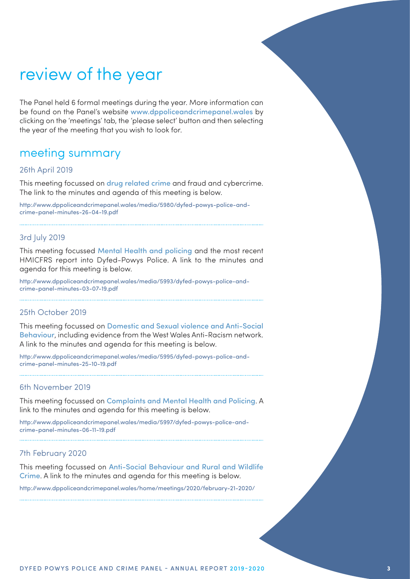### <span id="page-4-0"></span>review of the year

The Panel held 6 formal meetings during the year. More information can be found on the Panel's website www.dppoliceandcrimepanel.wales by clicking on the 'meetings' tab, the 'please select' button and then selecting the year of the meeting that you wish to look for.

### meeting summary

#### 26th April 2019

This meeting focussed on drug related crime and fraud and cybercrime. The link to the minutes and agenda of this meeting is below.

[http://www.dppoliceandcrimepanel.wales/media/5980/dyfed-powys-police-and](http://www.dppoliceandcrimepanel.wales/media/5980/dyfed-powys-police-and-crime-panel-minutes-26-04-19.pdf)[crime-panel-minutes-26-04-19.pdf](http://www.dppoliceandcrimepanel.wales/media/5980/dyfed-powys-police-and-crime-panel-minutes-26-04-19.pdf)

#### 3rd July 2019

This meeting focussed Mental Health and policing and the most recent HMICFRS report into Dyfed-Powys Police. A link to the minutes and agenda for this meeting is below.

[http://www.dppoliceandcrimepanel.wales/media/5993/dyfed-powys-police-and](http://www.dppoliceandcrimepanel.wales/media/5993/dyfed-powys-police-and-crime-panel-minutes-03-07-19.pdf)[crime-panel-minutes-03-07-19.pdf](http://www.dppoliceandcrimepanel.wales/media/5993/dyfed-powys-police-and-crime-panel-minutes-03-07-19.pdf)

#### 25th October 2019

This meeting focussed on Domestic and Sexual violence and Anti-Social Behaviour, including evidence from the West Wales Anti-Racism network. A link to the minutes and agenda for this meeting is below.

[http://www.dppoliceandcrimepanel.wales/media/5995/dyfed-powys-police-and](http://www.dppoliceandcrimepanel.wales/media/5995/dyfed-powys-police-and-crime-panel-minutes-25-10-19.pdf)[crime-panel-minutes-25-10-19.pdf](http://www.dppoliceandcrimepanel.wales/media/5995/dyfed-powys-police-and-crime-panel-minutes-25-10-19.pdf)

#### 6th November 2019

This meeting focussed on Complaints and Mental Health and Policing. A link to the minutes and agenda for this meeting is below.

[http://www.dppoliceandcrimepanel.wales/media/5997/dyfed-powys-police-and](http://www.dppoliceandcrimepanel.wales/media/5997/dyfed-powys-police-and-crime-panel-minutes-06-11-19.pdf)[crime-panel-minutes-06-11-19.pdf](http://www.dppoliceandcrimepanel.wales/media/5997/dyfed-powys-police-and-crime-panel-minutes-06-11-19.pdf)

#### 7th February 2020

This meeting focussed on Anti-Social Behaviour and Rural and Wildlife Crime. A link to the minutes and agenda for this meeting is below.

<http://www.dppoliceandcrimepanel.wales/home/meetings/2020/february-21-2020/>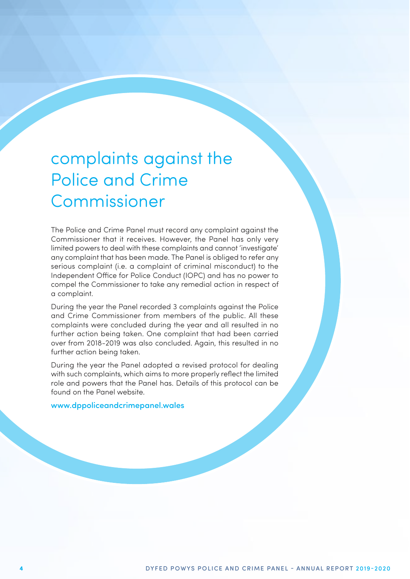### <span id="page-5-0"></span>complaints against the Police and Crime Commissioner

The Police and Crime Panel must record any complaint against the Commissioner that it receives. However, the Panel has only very limited powers to deal with these complaints and cannot 'investigate' any complaint that has been made. The Panel is obliged to refer any serious complaint (i.e. a complaint of criminal misconduct) to the Independent Office for Police Conduct (IOPC) and has no power to compel the Commissioner to take any remedial action in respect of a complaint.

During the year the Panel recorded 3 complaints against the Police and Crime Commissioner from members of the public. All these complaints were concluded during the year and all resulted in no further action being taken. One complaint that had been carried over from 2018-2019 was also concluded. Again, this resulted in no further action being taken.

During the year the Panel adopted a revised protocol for dealing with such complaints, which aims to more properly reflect the limited role and powers that the Panel has. Details of this protocol can be found on the Panel website.

<www.dppoliceandcrimepanel.wales>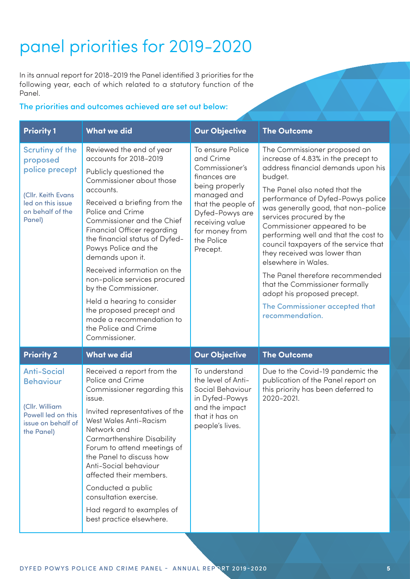## <span id="page-6-0"></span>panel priorities for 2019-2020

In its annual report for 2018-2019 the Panel identified 3 priorities for the following year, each of which related to a statutory function of the Panel.

### The priorities and outcomes achieved are set out below:

| <b>Priority 1</b>                                                                                                             | <b>What we did</b>                                                                                                                                                                                                                                                                                                                                                                                                                                                                                                                          | <b>Our Objective</b>                                                                                                                                                                                     | <b>The Outcome</b>                                                                                                                                                                                                                                                                                                                                                                                                                                                                                                                                                                            |
|-------------------------------------------------------------------------------------------------------------------------------|---------------------------------------------------------------------------------------------------------------------------------------------------------------------------------------------------------------------------------------------------------------------------------------------------------------------------------------------------------------------------------------------------------------------------------------------------------------------------------------------------------------------------------------------|----------------------------------------------------------------------------------------------------------------------------------------------------------------------------------------------------------|-----------------------------------------------------------------------------------------------------------------------------------------------------------------------------------------------------------------------------------------------------------------------------------------------------------------------------------------------------------------------------------------------------------------------------------------------------------------------------------------------------------------------------------------------------------------------------------------------|
| <b>Scrutiny of the</b><br>proposed<br>police precept<br>(Cllr. Keith Evans<br>led on this issue<br>on behalf of the<br>Panel) | Reviewed the end of year<br>accounts for 2018-2019<br>Publicly questioned the<br>Commissioner about those<br>accounts.<br>Received a briefing from the<br>Police and Crime<br>Commissioner and the Chief<br>Financial Officer regarding<br>the financial status of Dyfed-<br>Powys Police and the<br>demands upon it.<br>Received information on the<br>non-police services procured<br>by the Commissioner.<br>Held a hearing to consider<br>the proposed precept and<br>made a recommendation to<br>the Police and Crime<br>Commissioner. | To ensure Police<br>and Crime<br>Commissioner's<br>finances are<br>being properly<br>managed and<br>that the people of<br>Dyfed-Powys are<br>receiving value<br>for money from<br>the Police<br>Precept. | The Commissioner proposed an<br>increase of 4.83% in the precept to<br>address financial demands upon his<br>budget.<br>The Panel also noted that the<br>performance of Dyfed-Powys police<br>was generally good, that non-police<br>services procured by the<br>Commissioner appeared to be<br>performing well and that the cost to<br>council taxpayers of the service that<br>they received was lower than<br>elsewhere in Wales.<br>The Panel therefore recommended<br>that the Commissioner formally<br>adopt his proposed precept.<br>The Commissioner accepted that<br>recommendation. |
|                                                                                                                               |                                                                                                                                                                                                                                                                                                                                                                                                                                                                                                                                             |                                                                                                                                                                                                          |                                                                                                                                                                                                                                                                                                                                                                                                                                                                                                                                                                                               |
| <b>Priority 2</b>                                                                                                             | <b>What we did</b>                                                                                                                                                                                                                                                                                                                                                                                                                                                                                                                          | <b>Our Objective</b>                                                                                                                                                                                     | <b>The Outcome</b>                                                                                                                                                                                                                                                                                                                                                                                                                                                                                                                                                                            |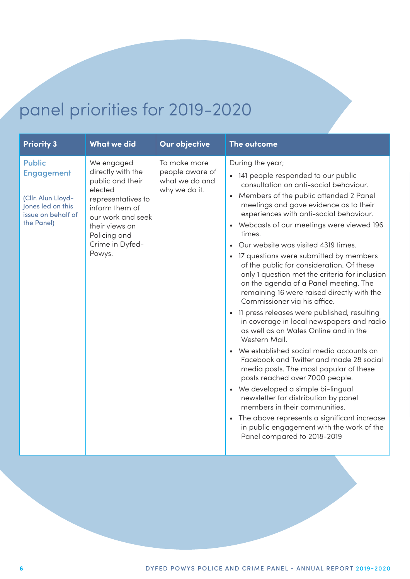## panel priorities for 2019-2020

| <b>What we did</b><br><b>Priority 3</b><br>Our objective<br>The outcome                                                                                                                                                                                                                                                                                                                                      |                                                                                                                                                                                                                                                                                                                                                                                                                                                                                                                                                                                                                                                                                                                                                                                                                                                                                                                                                                                                                                                                                                                                                             |
|--------------------------------------------------------------------------------------------------------------------------------------------------------------------------------------------------------------------------------------------------------------------------------------------------------------------------------------------------------------------------------------------------------------|-------------------------------------------------------------------------------------------------------------------------------------------------------------------------------------------------------------------------------------------------------------------------------------------------------------------------------------------------------------------------------------------------------------------------------------------------------------------------------------------------------------------------------------------------------------------------------------------------------------------------------------------------------------------------------------------------------------------------------------------------------------------------------------------------------------------------------------------------------------------------------------------------------------------------------------------------------------------------------------------------------------------------------------------------------------------------------------------------------------------------------------------------------------|
| To make more<br>We engaged<br><b>Public</b><br>directly with the<br>people aware of<br><b>Engagement</b><br>what we do and<br>public and their<br>elected<br>why we do it.<br>(Cllr. Alun Lloyd-<br>representatives to<br>Jones led on this<br>inform them of<br>issue on behalf of<br>our work and seek<br>the Panel)<br>their views on<br>$\bullet$<br>times.<br>Policing and<br>Crime in Dyfed-<br>Powys. | During the year;<br>• 141 people responded to our public<br>consultation on anti-social behaviour.<br>• Members of the public attended 2 Panel<br>meetings and gave evidence as to their<br>experiences with anti-social behaviour.<br>Webcasts of our meetings were viewed 196<br>Our website was visited 4319 times.<br>• 17 questions were submitted by members<br>of the public for consideration. Of these<br>only 1 question met the criteria for inclusion<br>on the agenda of a Panel meeting. The<br>remaining 16 were raised directly with the<br>Commissioner via his office.<br>11 press releases were published, resulting<br>in coverage in local newspapers and radio<br>as well as on Wales Online and in the<br>Western Mail.<br>We established social media accounts on<br>Facebook and Twitter and made 28 social<br>media posts. The most popular of these<br>posts reached over 7000 people.<br>• We developed a simple bi-lingual<br>newsletter for distribution by panel<br>members in their communities.<br>The above represents a significant increase<br>in public engagement with the work of the<br>Panel compared to 2018-2019 |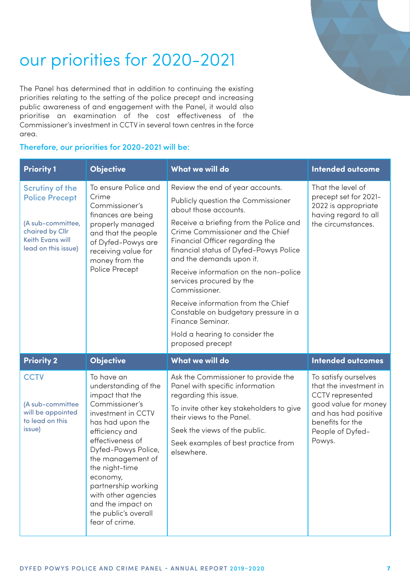<span id="page-8-0"></span>

## our priorities for 2020-2021

The Panel has determined that in addition to continuing the existing priorities relating to the setting of the police precept and increasing public awareness of and engagement with the Panel, it would also prioritise an examination of the cost effectiveness of the Commissioner's investment in CCTV in several town centres in the force area.

#### Therefore, our priorities for 2020-2021 will be:

| <b>Priority 1</b>                                                                                                                  | <b>Objective</b>                                                                                                                                                                                                                                                                                                                               | What we will do                                                                                                                                                                                                                                                                                                                                                                                                                                                                                                                      | <b>Intended outcome</b>                                                                                                                                                     |
|------------------------------------------------------------------------------------------------------------------------------------|------------------------------------------------------------------------------------------------------------------------------------------------------------------------------------------------------------------------------------------------------------------------------------------------------------------------------------------------|--------------------------------------------------------------------------------------------------------------------------------------------------------------------------------------------------------------------------------------------------------------------------------------------------------------------------------------------------------------------------------------------------------------------------------------------------------------------------------------------------------------------------------------|-----------------------------------------------------------------------------------------------------------------------------------------------------------------------------|
| <b>Scrutiny of the</b><br><b>Police Precept</b><br>(A sub-committee,<br>chaired by Cllr<br>Keith Evans will<br>lead on this issue) | To ensure Police and<br>Crime<br>Commissioner's<br>finances are being<br>properly managed<br>and that the people<br>of Dyfed-Powys are<br>receiving value for<br>money from the<br>Police Precept                                                                                                                                              | Review the end of year accounts.<br>Publicly question the Commissioner<br>about those accounts.<br>Receive a briefing from the Police and<br>Crime Commissioner and the Chief<br>Financial Officer regarding the<br>financial status of Dyfed-Powys Police<br>and the demands upon it.<br>Receive information on the non-police<br>services procured by the<br>Commissioner.<br>Receive information from the Chief<br>Constable on budgetary pressure in a<br>Finance Seminar.<br>Hold a hearing to consider the<br>proposed precept | That the level of<br>precept set for 2021-<br>2022 is appropriate<br>having regard to all<br>the circumstances.                                                             |
| <b>Priority 2</b>                                                                                                                  | <b>Objective</b>                                                                                                                                                                                                                                                                                                                               | What we will do                                                                                                                                                                                                                                                                                                                                                                                                                                                                                                                      | <b>Intended outcomes</b>                                                                                                                                                    |
| <b>CCTV</b><br>(A sub-committee<br>will be appointed<br>to lead on this<br>issue)                                                  | To have an<br>understanding of the<br>impact that the<br>Commissioner's<br>investment in CCTV<br>has had upon the<br>efficiency and<br>effectiveness of<br>Dyfed-Powys Police,<br>the management of<br>the night-time<br>economy,<br>partnership working<br>with other agencies<br>and the impact on<br>the public's overall<br>fear of crime. | Ask the Commissioner to provide the<br>Panel with specific information<br>regarding this issue.<br>To invite other key stakeholders to give<br>their views to the Panel.<br>Seek the views of the public.<br>Seek examples of best practice from<br>elsewhere.                                                                                                                                                                                                                                                                       | To satisfy ourselves<br>that the investment in<br><b>CCTV</b> represented<br>good value for money<br>and has had positive<br>benefits for the<br>People of Dyfed-<br>Powys. |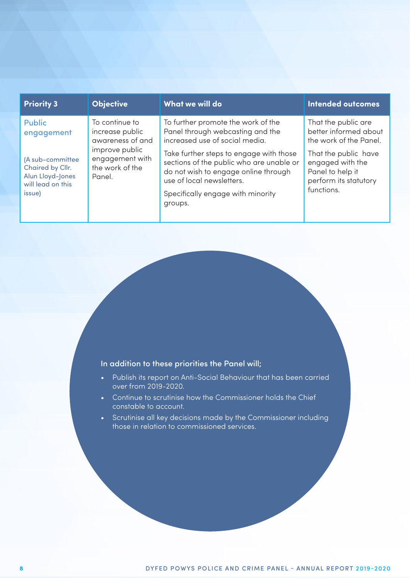| <b>Priority 3</b>                                                                       | <b>Objective</b>                                               | What we will do                                                                                                                                                                                          | <b>Intended outcomes</b>                                                                            |
|-----------------------------------------------------------------------------------------|----------------------------------------------------------------|----------------------------------------------------------------------------------------------------------------------------------------------------------------------------------------------------------|-----------------------------------------------------------------------------------------------------|
| <b>Public</b><br>engagement                                                             | To continue to<br>increase public<br>awareness of and          | To further promote the work of the<br>Panel through webcasting and the<br>increased use of social media.                                                                                                 | That the public are<br>better informed about<br>the work of the Panel.                              |
| (A sub-committee<br>Chaired by Cllr.<br>Alun Lloyd-Jones<br>will lead on this<br>issue) | improve public<br>engagement with<br>the work of the<br>Panel. | Take further steps to engage with those<br>sections of the public who are unable or<br>do not wish to engage online through<br>use of local newsletters.<br>Specifically engage with minority<br>groups. | That the public have<br>engaged with the<br>Panel to help it<br>perform its statutory<br>functions. |

#### In addition to these priorities the Panel will;

- Publish its report on Anti-Social Behaviour that has been carried over from 2019-2020.
- Continue to scrutinise how the Commissioner holds the Chief constable to account.
- Scrutinise all key decisions made by the Commissioner including those in relation to commissioned services.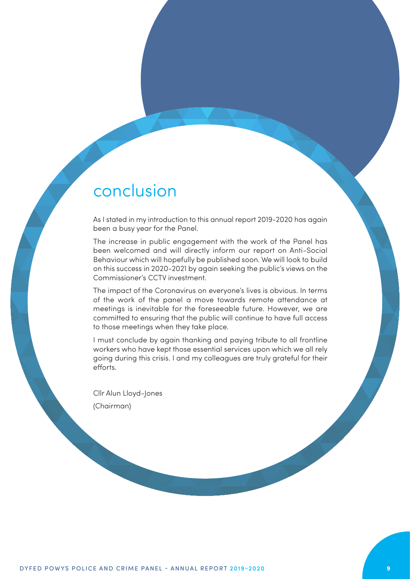### <span id="page-10-0"></span>conclusion

As I stated in my introduction to this annual report 2019-2020 has again been a busy year for the Panel.

The increase in public engagement with the work of the Panel has been welcomed and will directly inform our report on Anti-Social Behaviour which will hopefully be published soon. We will look to build on this success in 2020-2021 by again seeking the public's views on the Commissioner's CCTV investment.

The impact of the Coronavirus on everyone's lives is obvious. In terms of the work of the panel a move towards remote attendance at meetings is inevitable for the foreseeable future. However, we are committed to ensuring that the public will continue to have full access to those meetings when they take place.

I must conclude by again thanking and paying tribute to all frontline workers who have kept those essential services upon which we all rely going during this crisis. I and my colleagues are truly grateful for their efforts.

Cllr Alun Lloyd-Jones (Chairman)